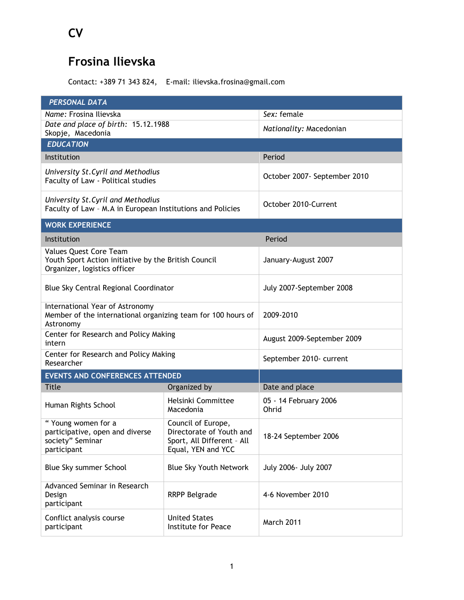## **Frosina Ilievska**

Contact: +389 71 343 824, E-mail: ilievska.frosina@gmail.com

| <b>PERSONAL DATA</b>                                                                                           |                                                                                                    |                                |  |
|----------------------------------------------------------------------------------------------------------------|----------------------------------------------------------------------------------------------------|--------------------------------|--|
| Name: Frosina Ilievska                                                                                         |                                                                                                    | Sex: female                    |  |
| Date and place of birth: 15.12.1988<br>Skopje, Macedonia                                                       |                                                                                                    | Nationality: Macedonian        |  |
| <b>EDUCATION</b>                                                                                               |                                                                                                    |                                |  |
| Institution                                                                                                    |                                                                                                    | Period                         |  |
| University St. Cyril and Methodius<br>Faculty of Law - Political studies                                       |                                                                                                    | October 2007- September 2010   |  |
| University St. Cyril and Methodius<br>Faculty of Law - M.A in European Institutions and Policies               |                                                                                                    | October 2010-Current           |  |
| <b>WORK EXPERIENCE</b>                                                                                         |                                                                                                    |                                |  |
| Institution                                                                                                    |                                                                                                    | Period                         |  |
| Values Quest Core Team<br>Youth Sport Action initiative by the British Council<br>Organizer, logistics officer |                                                                                                    | January-August 2007            |  |
| Blue Sky Central Regional Coordinator                                                                          |                                                                                                    | July 2007-September 2008       |  |
| International Year of Astronomy<br>Member of the international organizing team for 100 hours of<br>Astronomy   |                                                                                                    | 2009-2010                      |  |
| Center for Research and Policy Making<br>intern                                                                |                                                                                                    | August 2009-September 2009     |  |
| Center for Research and Policy Making<br>Researcher                                                            |                                                                                                    | September 2010- current        |  |
| <b>EVENTS AND CONFERENCES ATTENDED</b>                                                                         |                                                                                                    |                                |  |
| Title                                                                                                          | Organized by                                                                                       | Date and place                 |  |
| Human Rights School                                                                                            | Helsinki Committee<br>Macedonia                                                                    | 05 - 14 February 2006<br>Ohrid |  |
| "Young women for a<br>participative, open and diverse<br>society" Seminar<br>participant                       | Council of Europe,<br>Directorate of Youth and<br>Sport, All Different - All<br>Equal, YEN and YCC | 18-24 September 2006           |  |
| Blue Sky summer School                                                                                         | Blue Sky Youth Network                                                                             | July 2006- July 2007           |  |
| Advanced Seminar in Research<br>Design<br>participant                                                          | <b>RRPP Belgrade</b>                                                                               | 4-6 November 2010              |  |
| Conflict analysis course<br>participant                                                                        | <b>United States</b><br>Institute for Peace                                                        | March 2011                     |  |